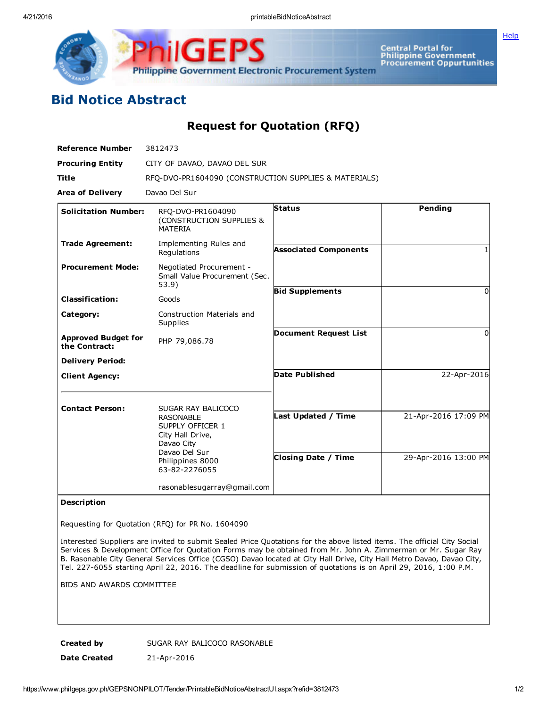**[Help](javascript:void(window.open()** 



Central Portal for<br>Philippine Government<br>Procurement Oppurtunities

## Bid Notice Abstract

Request for Quotation (RFQ)

| <b>Reference Number</b>                     | 3812473                                                                                 |                              |                      |
|---------------------------------------------|-----------------------------------------------------------------------------------------|------------------------------|----------------------|
| <b>Procuring Entity</b>                     | CITY OF DAVAO, DAVAO DEL SUR                                                            |                              |                      |
| <b>Title</b>                                | RFQ-DVO-PR1604090 (CONSTRUCTION SUPPLIES & MATERIALS)                                   |                              |                      |
| <b>Area of Delivery</b>                     | Davao Del Sur                                                                           |                              |                      |
| <b>Solicitation Number:</b>                 | RFO-DVO-PR1604090<br>(CONSTRUCTION SUPPLIES &<br><b>MATERIA</b>                         | <b>Status</b>                | <b>Pending</b>       |
| <b>Trade Agreement:</b>                     | Implementing Rules and<br>Regulations                                                   | <b>Associated Components</b> |                      |
| <b>Procurement Mode:</b>                    | Negotiated Procurement -<br>Small Value Procurement (Sec.<br>53.9)                      |                              |                      |
| <b>Classification:</b>                      | Goods                                                                                   | <b>Bid Supplements</b>       | 0                    |
| Category:                                   | Construction Materials and<br>Supplies                                                  |                              |                      |
| <b>Approved Budget for</b><br>the Contract: | PHP 79,086.78                                                                           | <b>Document Request List</b> | 0                    |
| <b>Delivery Period:</b>                     |                                                                                         |                              |                      |
| <b>Client Agency:</b>                       |                                                                                         | <b>Date Published</b>        | 22-Apr-2016          |
| <b>Contact Person:</b>                      | SUGAR RAY BALICOCO                                                                      |                              |                      |
|                                             | <b>RASONABLE</b><br>SUPPLY OFFICER 1<br>City Hall Drive,<br>Davao City<br>Davao Del Sur | Last Updated / Time          | 21-Apr-2016 17:09 PM |
|                                             | Philippines 8000<br>63-82-2276055                                                       | <b>Closing Date / Time</b>   | 29-Apr-2016 13:00 PM |
|                                             | rasonablesugarray@gmail.com                                                             |                              |                      |

## Description

Requesting for Quotation (RFQ) for PR No. 1604090

Interested Suppliers are invited to submit Sealed Price Quotations for the above listed items. The official City Social Services & Development Office for Quotation Forms may be obtained from Mr. John A. Zimmerman or Mr. Sugar Ray B. Rasonable City General Services Office (CGSO) Davao located at City Hall Drive, City Hall Metro Davao, Davao City, Tel. 227-6055 starting April 22, 2016. The deadline for submission of quotations is on April 29, 2016, 1:00 P.M.

BIDS AND AWARDS COMMITTEE

Created by SUGAR RAY BALICOCO RASONABLE Date Created 21-Apr-2016